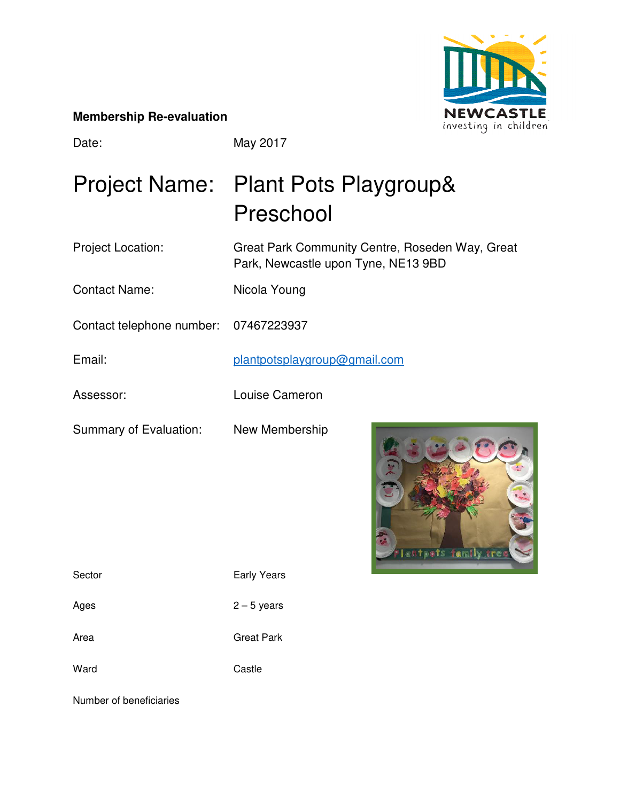

#### **Membership Re-evaluation**

Date: May 2017

# Project Name: Plant Pots Playgroup& Preschool

Project Location: Great Park Community Centre, Roseden Way, Great Park, Newcastle upon Tyne, NE13 9BD

Contact Name: Nicola Young

Contact telephone number: 07467223937

Email: plantpotsplaygroup@gmail.com

Assessor: Louise Cameron

Summary of Evaluation: New Membership

ts family

Sector **Early Years** 

Ages  $2-5$  years

Area **Great Park** 

Ward Castle

Number of beneficiaries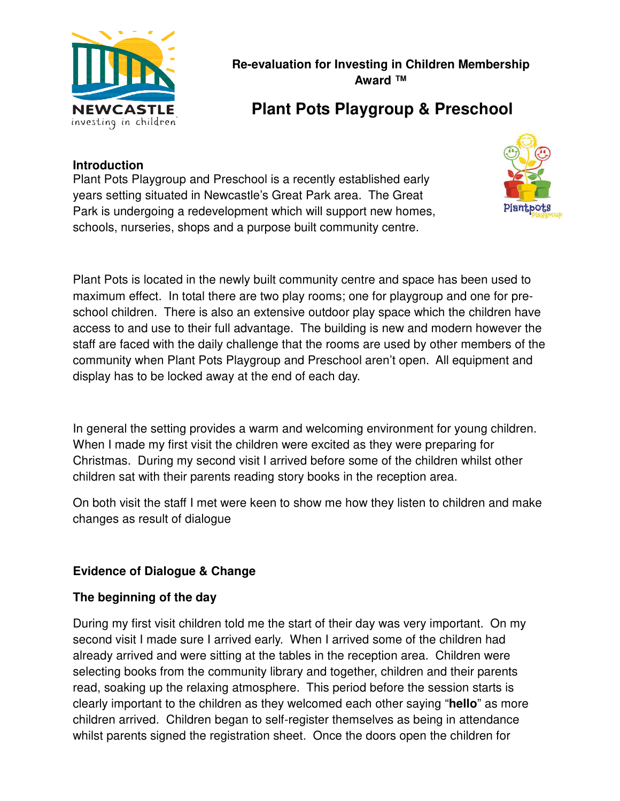

**Re-evaluation for Investing in Children Membership Award ™** 

# **Plant Pots Playgroup & Preschool**

# **Introduction**

Plant Pots Playgroup and Preschool is a recently established early years setting situated in Newcastle's Great Park area. The Great Park is undergoing a redevelopment which will support new homes, schools, nurseries, shops and a purpose built community centre.



Plant Pots is located in the newly built community centre and space has been used to maximum effect. In total there are two play rooms; one for playgroup and one for preschool children. There is also an extensive outdoor play space which the children have access to and use to their full advantage. The building is new and modern however the staff are faced with the daily challenge that the rooms are used by other members of the community when Plant Pots Playgroup and Preschool aren't open. All equipment and display has to be locked away at the end of each day.

In general the setting provides a warm and welcoming environment for young children. When I made my first visit the children were excited as they were preparing for Christmas. During my second visit I arrived before some of the children whilst other children sat with their parents reading story books in the reception area.

On both visit the staff I met were keen to show me how they listen to children and make changes as result of dialogue

# **Evidence of Dialogue & Change**

#### **The beginning of the day**

During my first visit children told me the start of their day was very important. On my second visit I made sure I arrived early. When I arrived some of the children had already arrived and were sitting at the tables in the reception area. Children were selecting books from the community library and together, children and their parents read, soaking up the relaxing atmosphere. This period before the session starts is clearly important to the children as they welcomed each other saying "**hello**" as more children arrived. Children began to self-register themselves as being in attendance whilst parents signed the registration sheet. Once the doors open the children for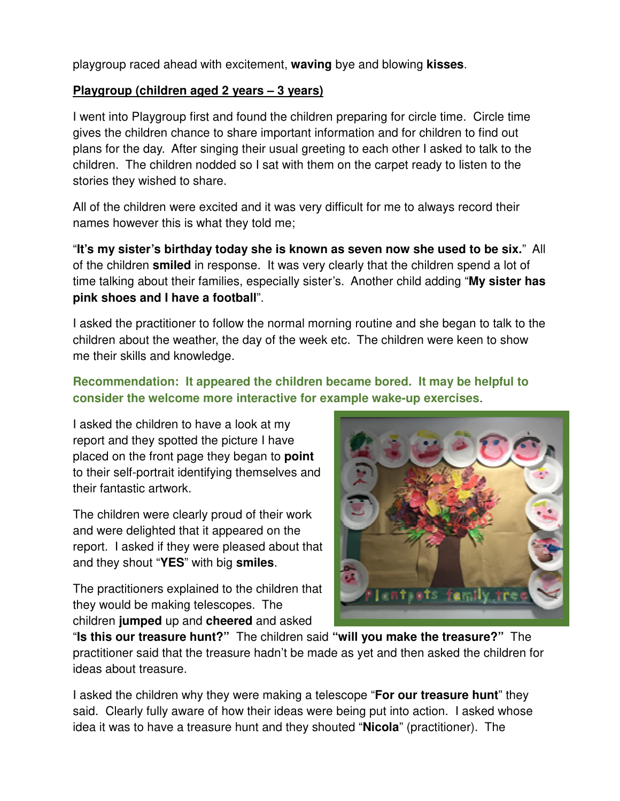playgroup raced ahead with excitement, **waving** bye and blowing **kisses**.

# **Playgroup (children aged 2 years – 3 years)**

I went into Playgroup first and found the children preparing for circle time. Circle time gives the children chance to share important information and for children to find out plans for the day. After singing their usual greeting to each other I asked to talk to the children. The children nodded so I sat with them on the carpet ready to listen to the stories they wished to share.

All of the children were excited and it was very difficult for me to always record their names however this is what they told me;

"**It's my sister's birthday today she is known as seven now she used to be six.**" All of the children **smiled** in response. It was very clearly that the children spend a lot of time talking about their families, especially sister's. Another child adding "**My sister has pink shoes and I have a football**".

I asked the practitioner to follow the normal morning routine and she began to talk to the children about the weather, the day of the week etc. The children were keen to show me their skills and knowledge.

# **Recommendation: It appeared the children became bored. It may be helpful to consider the welcome more interactive for example wake-up exercises**.

I asked the children to have a look at my report and they spotted the picture I have placed on the front page they began to **point** to their self-portrait identifying themselves and their fantastic artwork.

The children were clearly proud of their work and were delighted that it appeared on the report. I asked if they were pleased about that and they shout "**YES**" with big **smiles**.

The practitioners explained to the children that they would be making telescopes. The children **jumped** up and **cheered** and asked



"**Is this our treasure hunt?"** The children said **"will you make the treasure?"** The practitioner said that the treasure hadn't be made as yet and then asked the children for ideas about treasure.

I asked the children why they were making a telescope "**For our treasure hunt**" they said. Clearly fully aware of how their ideas were being put into action. I asked whose idea it was to have a treasure hunt and they shouted "**Nicola**" (practitioner). The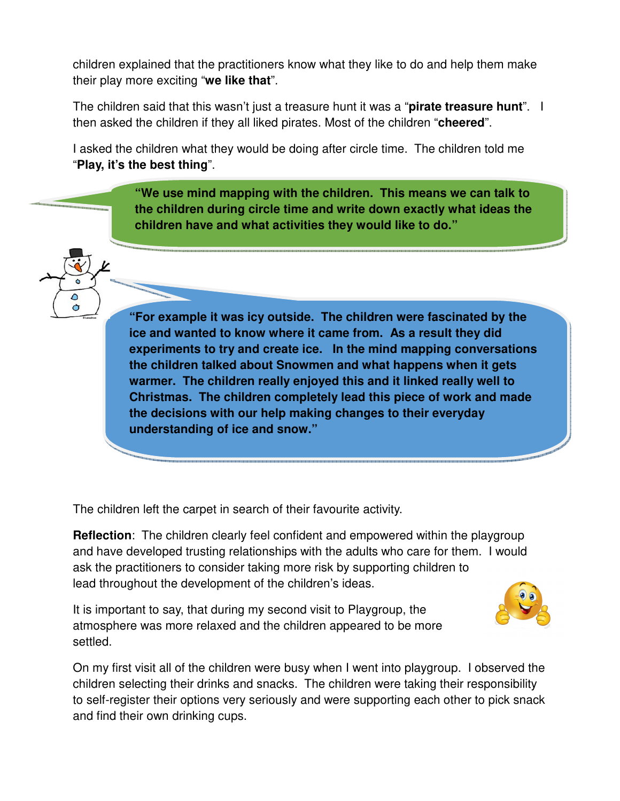children explained that the practitioners know what they like to do and help them make their play more exciting "**we like that**".

The children said that this wasn't just a treasure hunt it was a "**pirate treasure hunt**". I then asked the children if they all liked pirates. Most of the children "**cheered**".

I asked the children what they would be doing after circle time. The children told me "**Play, it's the best thing**".

> **"We use mind mapping with the children. This means we can talk to the children during circle time and write down exactly what ideas the children have and what activities they would like to do."**

**"For example it was icy outside. The children were fascinated by the ice and wanted to know where it came from. As a result they did experiments to try and create ice. In the mind mapping conversations the children talked about Snowmen and what happens when it gets warmer. The children really enjoyed this and it linked really well to Christmas. The children completely lead this piece of work and made the decisions with our help making changes to their everyday understanding of ice and snow."** 

The children left the carpet in search of their favourite activity.

٥  $\sigma$ 

> **Reflection**: The children clearly feel confident and empowered within the playgroup and have developed trusting relationships with the adults who care for them. I would ask the practitioners to consider taking more risk by supporting children to lead throughout the development of the children's ideas.

It is important to say, that during my second visit to Playgroup, the atmosphere was more relaxed and the children appeared to be more settled.



On my first visit all of the children were busy when I went into playgroup. I observed the children selecting their drinks and snacks. The children were taking their responsibility to self-register their options very seriously and were supporting each other to pick snack and find their own drinking cups.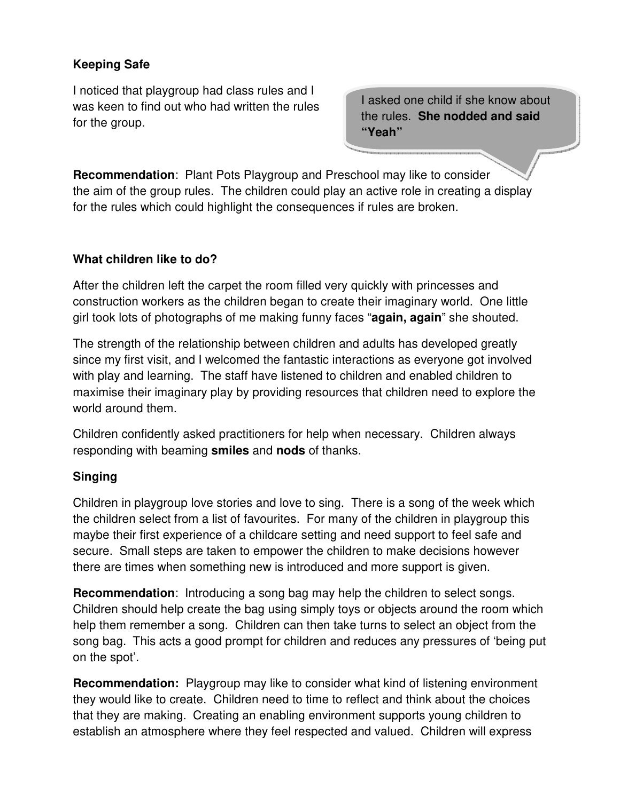# **Keeping Safe**

I noticed that playgroup had class rules and I was keen to find out who had written the rules for the group.

I asked one child if she know about the rules. **She nodded and said "Yeah"**

**Recommendation**: Plant Pots Playgroup and Preschool may like to consider the aim of the group rules. The children could play an active role in creating a display for the rules which could highlight the consequences if rules are broken.

# **What children like to do?**

After the children left the carpet the room filled very quickly with princesses and construction workers as the children began to create their imaginary world. One little girl took lots of photographs of me making funny faces "**again, again**" she shouted.

The strength of the relationship between children and adults has developed greatly since my first visit, and I welcomed the fantastic interactions as everyone got involved with play and learning. The staff have listened to children and enabled children to maximise their imaginary play by providing resources that children need to explore the world around them.

Children confidently asked practitioners for help when necessary. Children always responding with beaming **smiles** and **nods** of thanks.

# **Singing**

Children in playgroup love stories and love to sing. There is a song of the week which the children select from a list of favourites. For many of the children in playgroup this maybe their first experience of a childcare setting and need support to feel safe and secure. Small steps are taken to empower the children to make decisions however there are times when something new is introduced and more support is given.

**Recommendation**: Introducing a song bag may help the children to select songs. Children should help create the bag using simply toys or objects around the room which help them remember a song. Children can then take turns to select an object from the song bag. This acts a good prompt for children and reduces any pressures of 'being put on the spot'.

**Recommendation:** Playgroup may like to consider what kind of listening environment they would like to create. Children need to time to reflect and think about the choices that they are making. Creating an enabling environment supports young children to establish an atmosphere where they feel respected and valued. Children will express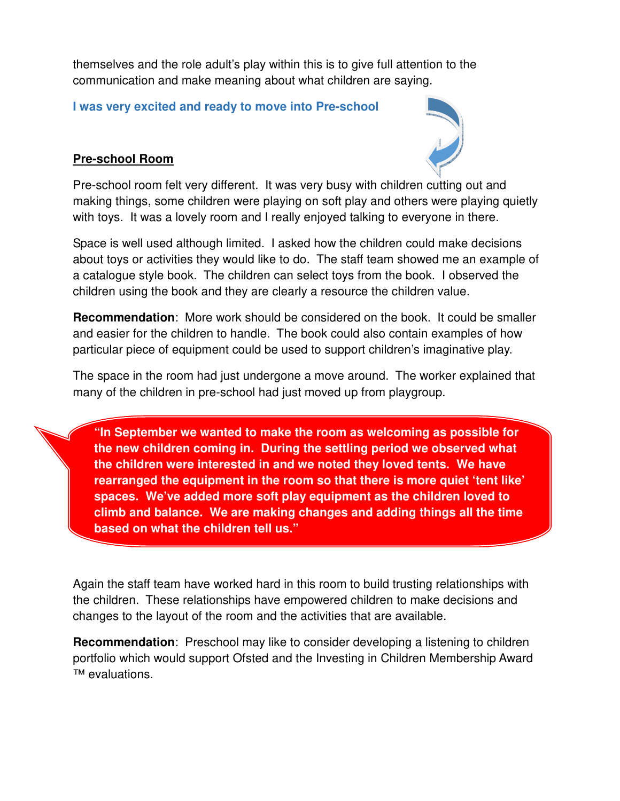themselves and the role adult's play within this is to give full attention to the communication and make meaning about what children are saying.

**I was very excited and ready to move into Pre-school** 

# **Pre-school Room**



Pre-school room felt very different. It was very busy with children cutting out and making things, some children were playing on soft play and others were playing quietly with toys. It was a lovely room and I really enjoyed talking to everyone in there.

Space is well used although limited. I asked how the children could make decisions about toys or activities they would like to do. The staff team showed me an example of a catalogue style book. The children can select toys from the book. I observed the children using the book and they are clearly a resource the children value.

**Recommendation**: More work should be considered on the book. It could be smaller and easier for the children to handle. The book could also contain examples of how particular piece of equipment could be used to support children's imaginative play.

The space in the room had just undergone a move around. The worker explained that many of the children in pre-school had just moved up from playgroup.

**"In September we wanted to make the room as welcoming as possible for the new children coming in. During the settling period we observed what the children were interested in and we noted they loved tents. We have rearranged the equipment in the room so that there is more quiet 'tent like' spaces. We've added more soft play equipment as the children loved to climb and balance. We are making changes and adding things all the time based on what the children tell us."** 

Again the staff team have worked hard in this room to build trusting relationships with the children. These relationships have empowered children to make decisions and changes to the layout of the room and the activities that are available.

**Recommendation**: Preschool may like to consider developing a listening to children portfolio which would support Ofsted and the Investing in Children Membership Award ™ evaluations.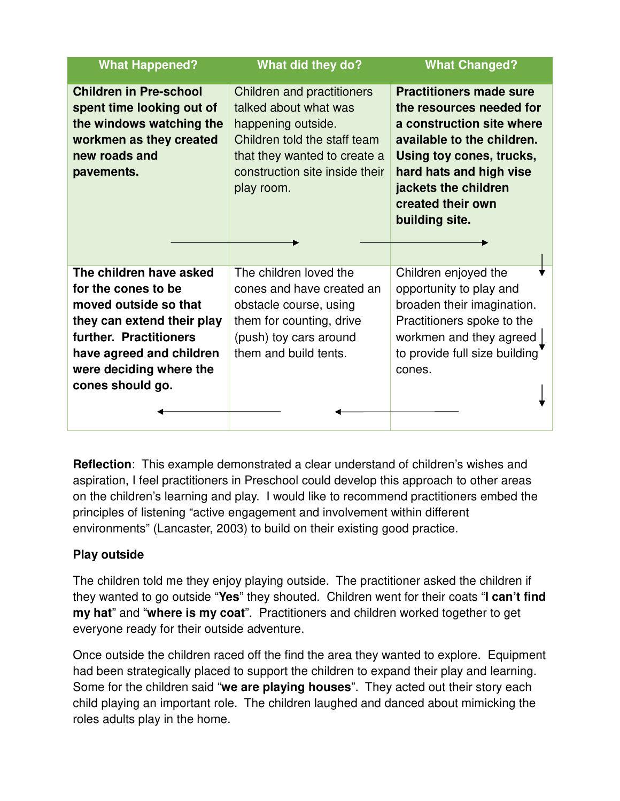| <b>What Happened?</b>                                                                                                                                                                                      | What did they do?                                                                                                                                                                                | <b>What Changed?</b>                                                                                                                                                                                                                        |
|------------------------------------------------------------------------------------------------------------------------------------------------------------------------------------------------------------|--------------------------------------------------------------------------------------------------------------------------------------------------------------------------------------------------|---------------------------------------------------------------------------------------------------------------------------------------------------------------------------------------------------------------------------------------------|
| <b>Children in Pre-school</b><br>spent time looking out of<br>the windows watching the<br>workmen as they created<br>new roads and<br>pavements.                                                           | <b>Children and practitioners</b><br>talked about what was<br>happening outside.<br>Children told the staff team<br>that they wanted to create a<br>construction site inside their<br>play room. | <b>Practitioners made sure</b><br>the resources needed for<br>a construction site where<br>available to the children.<br>Using toy cones, trucks,<br>hard hats and high vise<br>jackets the children<br>created their own<br>building site. |
| The children have asked<br>for the cones to be<br>moved outside so that<br>they can extend their play<br>further. Practitioners<br>have agreed and children<br>were deciding where the<br>cones should go. | The children loved the<br>cones and have created an<br>obstacle course, using<br>them for counting, drive<br>(push) toy cars around<br>them and build tents.                                     | Children enjoyed the<br>opportunity to play and<br>broaden their imagination.<br>Practitioners spoke to the<br>workmen and they agreed<br>to provide full size building<br>cones.                                                           |

**Reflection**: This example demonstrated a clear understand of children's wishes and aspiration, I feel practitioners in Preschool could develop this approach to other areas on the children's learning and play. I would like to recommend practitioners embed the principles of listening "active engagement and involvement within different environments" (Lancaster, 2003) to build on their existing good practice.

# **Play outside**

The children told me they enjoy playing outside. The practitioner asked the children if they wanted to go outside "**Yes**" they shouted. Children went for their coats "**I can't find my hat**" and "**where is my coat**". Practitioners and children worked together to get everyone ready for their outside adventure.

Once outside the children raced off the find the area they wanted to explore. Equipment had been strategically placed to support the children to expand their play and learning. Some for the children said "**we are playing houses**". They acted out their story each child playing an important role. The children laughed and danced about mimicking the roles adults play in the home.